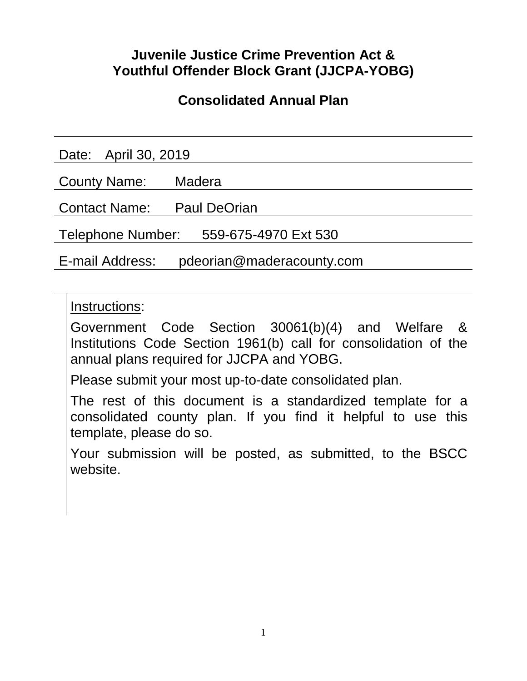# **Juvenile Justice Crime Prevention Act & Youthful Offender Block Grant (JJCPA-YOBG)**

# **Consolidated Annual Plan**

Date: April 30, 2019

County Name: Madera

Contact Name: Paul DeOrian

Telephone Number: 559-675-4970 Ext 530

E-mail Address: pdeorian@maderacounty.com

Instructions:

Government Code Section 30061(b)(4) and Welfare & Institutions Code Section 1961(b) call for consolidation of the annual plans required for JJCPA and YOBG.

Please submit your most up-to-date consolidated plan.

The rest of this document is a standardized template for a consolidated county plan. If you find it helpful to use this template, please do so.

Your submission will be posted, as submitted, to the BSCC website.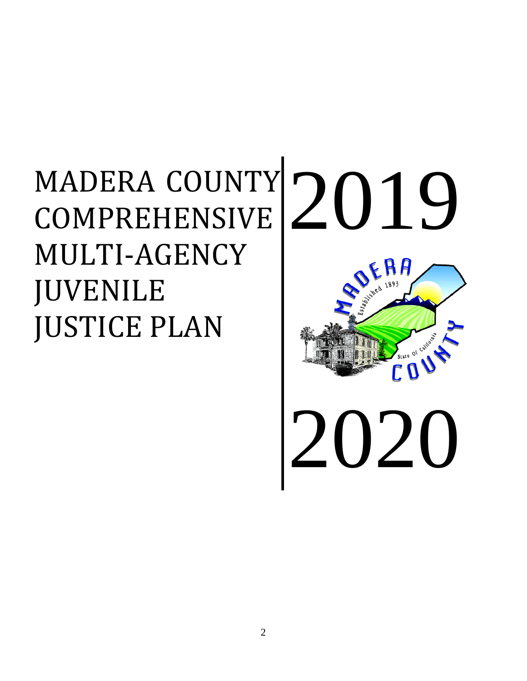# MADERA COUNTY COMPREHENSIVE MULTI-AGENCY JUVENILE JUSTICE PLAN

# 2019 2020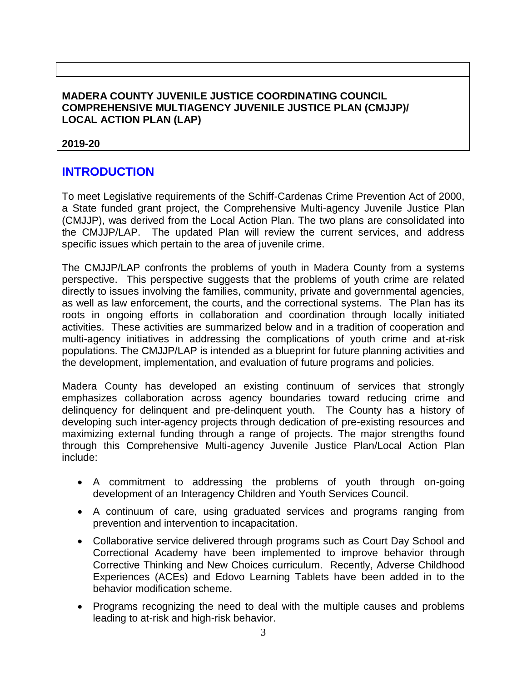### **MADERA COUNTY JUVENILE JUSTICE COORDINATING COUNCIL COMPREHENSIVE MULTIAGENCY JUVENILE JUSTICE PLAN (CMJJP)/ LOCAL ACTION PLAN (LAP)**

### **2019-20**

### **INTRODUCTION**

To meet Legislative requirements of the Schiff-Cardenas Crime Prevention Act of 2000, a State funded grant project, the Comprehensive Multi-agency Juvenile Justice Plan (CMJJP), was derived from the Local Action Plan. The two plans are consolidated into the CMJJP/LAP. The updated Plan will review the current services, and address specific issues which pertain to the area of juvenile crime.

The CMJJP/LAP confronts the problems of youth in Madera County from a systems perspective. This perspective suggests that the problems of youth crime are related directly to issues involving the families, community, private and governmental agencies, as well as law enforcement, the courts, and the correctional systems. The Plan has its roots in ongoing efforts in collaboration and coordination through locally initiated activities. These activities are summarized below and in a tradition of cooperation and multi-agency initiatives in addressing the complications of youth crime and at-risk populations. The CMJJP/LAP is intended as a blueprint for future planning activities and the development, implementation, and evaluation of future programs and policies.

Madera County has developed an existing continuum of services that strongly emphasizes collaboration across agency boundaries toward reducing crime and delinquency for delinquent and pre-delinquent youth. The County has a history of developing such inter-agency projects through dedication of pre-existing resources and maximizing external funding through a range of projects. The major strengths found through this Comprehensive Multi-agency Juvenile Justice Plan/Local Action Plan include:

- A commitment to addressing the problems of youth through on-going development of an Interagency Children and Youth Services Council.
- A continuum of care, using graduated services and programs ranging from prevention and intervention to incapacitation.
- Collaborative service delivered through programs such as Court Day School and Correctional Academy have been implemented to improve behavior through Corrective Thinking and New Choices curriculum. Recently, Adverse Childhood Experiences (ACEs) and Edovo Learning Tablets have been added in to the behavior modification scheme.
- Programs recognizing the need to deal with the multiple causes and problems leading to at-risk and high-risk behavior.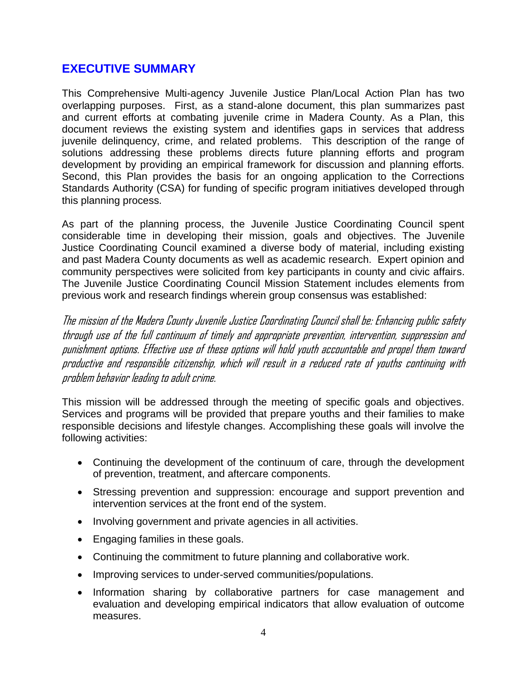### **EXECUTIVE SUMMARY**

This Comprehensive Multi-agency Juvenile Justice Plan/Local Action Plan has two overlapping purposes. First, as a stand-alone document, this plan summarizes past and current efforts at combating juvenile crime in Madera County. As a Plan, this document reviews the existing system and identifies gaps in services that address juvenile delinquency, crime, and related problems. This description of the range of solutions addressing these problems directs future planning efforts and program development by providing an empirical framework for discussion and planning efforts. Second, this Plan provides the basis for an ongoing application to the Corrections Standards Authority (CSA) for funding of specific program initiatives developed through this planning process.

As part of the planning process, the Juvenile Justice Coordinating Council spent considerable time in developing their mission, goals and objectives. The Juvenile Justice Coordinating Council examined a diverse body of material, including existing and past Madera County documents as well as academic research. Expert opinion and community perspectives were solicited from key participants in county and civic affairs. The Juvenile Justice Coordinating Council Mission Statement includes elements from previous work and research findings wherein group consensus was established:

The mission of the Madera County Juvenile Justice Coordinating Council shall be: Enhancing public safety through use of the full continuum of timely and appropriate prevention, intervention, suppression and punishment options. Effective use of these options will hold youth accountable and propel them toward productive and responsible citizenship, which will result in a reduced rate of youths continuing with problem behavior leading to adult crime.

This mission will be addressed through the meeting of specific goals and objectives. Services and programs will be provided that prepare youths and their families to make responsible decisions and lifestyle changes. Accomplishing these goals will involve the following activities:

- Continuing the development of the continuum of care, through the development of prevention, treatment, and aftercare components.
- Stressing prevention and suppression: encourage and support prevention and intervention services at the front end of the system.
- Involving government and private agencies in all activities.
- Engaging families in these goals.
- Continuing the commitment to future planning and collaborative work.
- Improving services to under-served communities/populations.
- Information sharing by collaborative partners for case management and evaluation and developing empirical indicators that allow evaluation of outcome measures.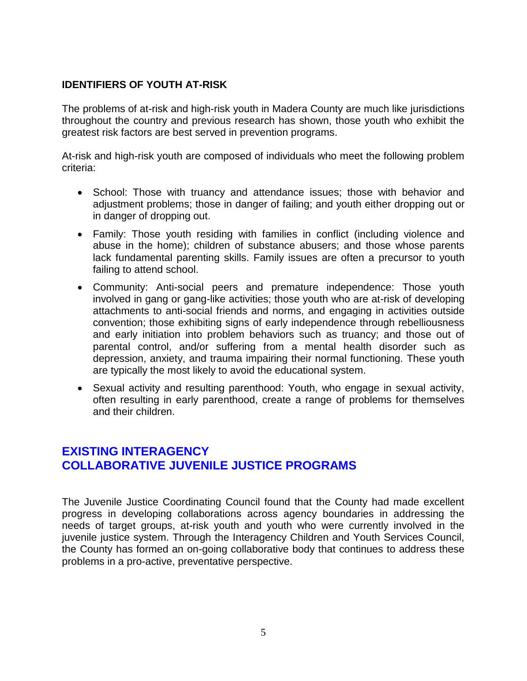### **IDENTIFIERS OF YOUTH AT-RISK**

The problems of at-risk and high-risk youth in Madera County are much like jurisdictions throughout the country and previous research has shown, those youth who exhibit the greatest risk factors are best served in prevention programs.

At-risk and high-risk youth are composed of individuals who meet the following problem criteria:

- School: Those with truancy and attendance issues; those with behavior and adjustment problems; those in danger of failing; and youth either dropping out or in danger of dropping out.
- Family: Those youth residing with families in conflict (including violence and abuse in the home); children of substance abusers; and those whose parents lack fundamental parenting skills. Family issues are often a precursor to youth failing to attend school.
- Community: Anti-social peers and premature independence: Those youth involved in gang or gang-like activities; those youth who are at-risk of developing attachments to anti-social friends and norms, and engaging in activities outside convention; those exhibiting signs of early independence through rebelliousness and early initiation into problem behaviors such as truancy; and those out of parental control, and/or suffering from a mental health disorder such as depression, anxiety, and trauma impairing their normal functioning. These youth are typically the most likely to avoid the educational system.
- Sexual activity and resulting parenthood: Youth, who engage in sexual activity, often resulting in early parenthood, create a range of problems for themselves and their children.

### **EXISTING INTERAGENCY COLLABORATIVE JUVENILE JUSTICE PROGRAMS**

The Juvenile Justice Coordinating Council found that the County had made excellent progress in developing collaborations across agency boundaries in addressing the needs of target groups, at-risk youth and youth who were currently involved in the juvenile justice system. Through the Interagency Children and Youth Services Council, the County has formed an on-going collaborative body that continues to address these problems in a pro-active, preventative perspective.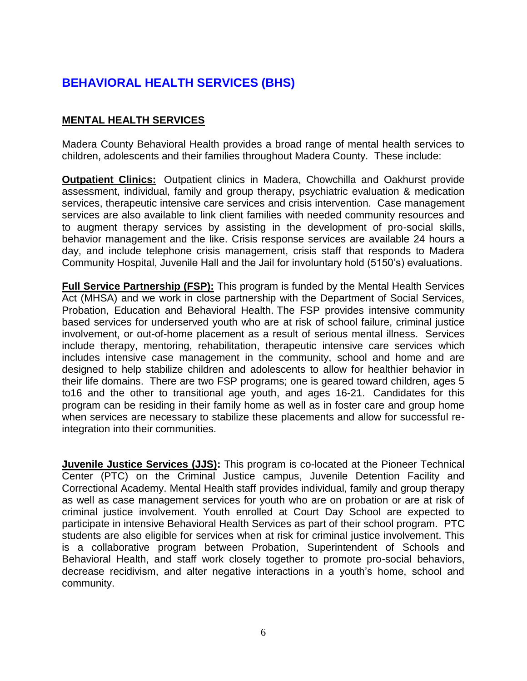### **BEHAVIORAL HEALTH SERVICES (BHS)**

### **MENTAL HEALTH SERVICES**

Madera County Behavioral Health provides a broad range of mental health services to children, adolescents and their families throughout Madera County. These include:

**Outpatient Clinics:** Outpatient clinics in Madera, Chowchilla and Oakhurst provide assessment, individual, family and group therapy, psychiatric evaluation & medication services, therapeutic intensive care services and crisis intervention. Case management services are also available to link client families with needed community resources and to augment therapy services by assisting in the development of pro-social skills, behavior management and the like. Crisis response services are available 24 hours a day, and include telephone crisis management, crisis staff that responds to Madera Community Hospital, Juvenile Hall and the Jail for involuntary hold (5150's) evaluations.

**Full Service Partnership (FSP):** This program is funded by the Mental Health Services Act (MHSA) and we work in close partnership with the Department of Social Services, Probation, Education and Behavioral Health. The FSP provides intensive community based services for underserved youth who are at risk of school failure, criminal justice involvement, or out-of-home placement as a result of serious mental illness. Services include therapy, mentoring, rehabilitation, therapeutic intensive care services which includes intensive case management in the community, school and home and are designed to help stabilize children and adolescents to allow for healthier behavior in their life domains. There are two FSP programs; one is geared toward children, ages 5 to16 and the other to transitional age youth, and ages 16-21. Candidates for this program can be residing in their family home as well as in foster care and group home when services are necessary to stabilize these placements and allow for successful reintegration into their communities.

**Juvenile Justice Services (JJS):** This program is co-located at the Pioneer Technical Center (PTC) on the Criminal Justice campus, Juvenile Detention Facility and Correctional Academy. Mental Health staff provides individual, family and group therapy as well as case management services for youth who are on probation or are at risk of criminal justice involvement. Youth enrolled at Court Day School are expected to participate in intensive Behavioral Health Services as part of their school program. PTC students are also eligible for services when at risk for criminal justice involvement. This is a collaborative program between Probation, Superintendent of Schools and Behavioral Health, and staff work closely together to promote pro-social behaviors, decrease recidivism, and alter negative interactions in a youth's home, school and community.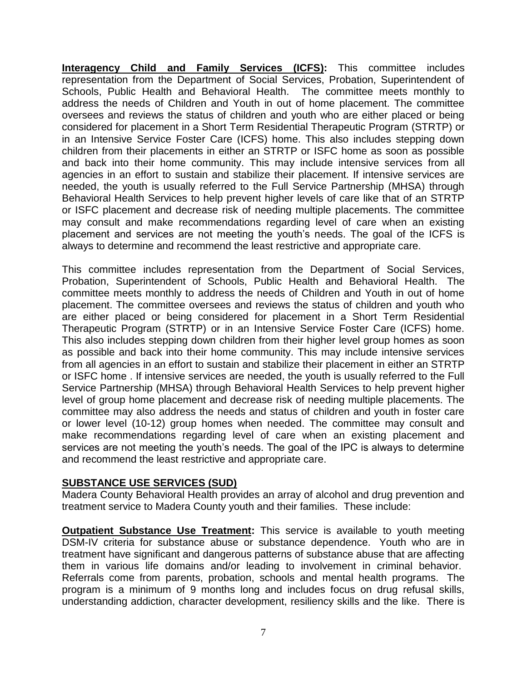**Interagency Child and Family Services (ICFS):** This committee includes representation from the Department of Social Services, Probation, Superintendent of Schools, Public Health and Behavioral Health. The committee meets monthly to address the needs of Children and Youth in out of home placement. The committee oversees and reviews the status of children and youth who are either placed or being considered for placement in a Short Term Residential Therapeutic Program (STRTP) or in an Intensive Service Foster Care (ICFS) home. This also includes stepping down children from their placements in either an STRTP or ISFC home as soon as possible and back into their home community. This may include intensive services from all agencies in an effort to sustain and stabilize their placement. If intensive services are needed, the youth is usually referred to the Full Service Partnership (MHSA) through Behavioral Health Services to help prevent higher levels of care like that of an STRTP or ISFC placement and decrease risk of needing multiple placements. The committee may consult and make recommendations regarding level of care when an existing placement and services are not meeting the youth's needs. The goal of the ICFS is always to determine and recommend the least restrictive and appropriate care.

This committee includes representation from the Department of Social Services, Probation, Superintendent of Schools, Public Health and Behavioral Health. The committee meets monthly to address the needs of Children and Youth in out of home placement. The committee oversees and reviews the status of children and youth who are either placed or being considered for placement in a Short Term Residential Therapeutic Program (STRTP) or in an Intensive Service Foster Care (ICFS) home. This also includes stepping down children from their higher level group homes as soon as possible and back into their home community. This may include intensive services from all agencies in an effort to sustain and stabilize their placement in either an STRTP or ISFC home . If intensive services are needed, the youth is usually referred to the Full Service Partnership (MHSA) through Behavioral Health Services to help prevent higher level of group home placement and decrease risk of needing multiple placements. The committee may also address the needs and status of children and youth in foster care or lower level (10-12) group homes when needed. The committee may consult and make recommendations regarding level of care when an existing placement and services are not meeting the youth's needs. The goal of the IPC is always to determine and recommend the least restrictive and appropriate care.

### **SUBSTANCE USE SERVICES (SUD)**

Madera County Behavioral Health provides an array of alcohol and drug prevention and treatment service to Madera County youth and their families. These include:

**Outpatient Substance Use Treatment:** This service is available to youth meeting DSM-IV criteria for substance abuse or substance dependence. Youth who are in treatment have significant and dangerous patterns of substance abuse that are affecting them in various life domains and/or leading to involvement in criminal behavior. Referrals come from parents, probation, schools and mental health programs. The program is a minimum of 9 months long and includes focus on drug refusal skills, understanding addiction, character development, resiliency skills and the like. There is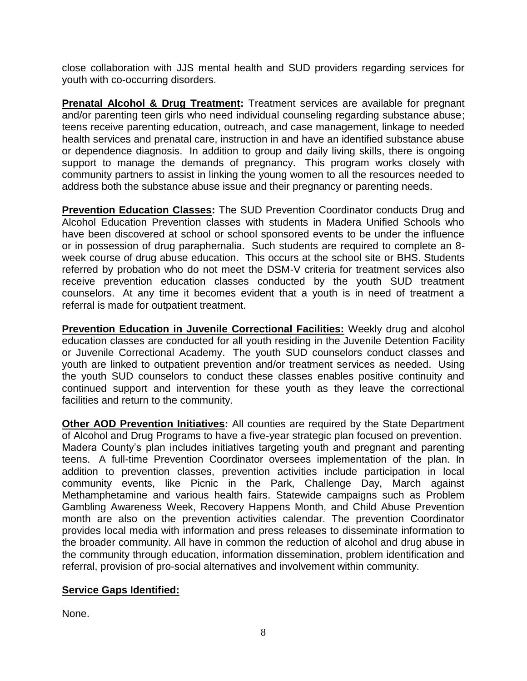close collaboration with JJS mental health and SUD providers regarding services for youth with co-occurring disorders.

**Prenatal Alcohol & Drug Treatment:** Treatment services are available for pregnant and/or parenting teen girls who need individual counseling regarding substance abuse; teens receive parenting education, outreach, and case management, linkage to needed health services and prenatal care, instruction in and have an identified substance abuse or dependence diagnosis. In addition to group and daily living skills, there is ongoing support to manage the demands of pregnancy. This program works closely with community partners to assist in linking the young women to all the resources needed to address both the substance abuse issue and their pregnancy or parenting needs.

**Prevention Education Classes:** The SUD Prevention Coordinator conducts Drug and Alcohol Education Prevention classes with students in Madera Unified Schools who have been discovered at school or school sponsored events to be under the influence or in possession of drug paraphernalia. Such students are required to complete an 8 week course of drug abuse education. This occurs at the school site or BHS. Students referred by probation who do not meet the DSM-V criteria for treatment services also receive prevention education classes conducted by the youth SUD treatment counselors. At any time it becomes evident that a youth is in need of treatment a referral is made for outpatient treatment.

**Prevention Education in Juvenile Correctional Facilities:** Weekly drug and alcohol education classes are conducted for all youth residing in the Juvenile Detention Facility or Juvenile Correctional Academy. The youth SUD counselors conduct classes and youth are linked to outpatient prevention and/or treatment services as needed. Using the youth SUD counselors to conduct these classes enables positive continuity and continued support and intervention for these youth as they leave the correctional facilities and return to the community.

**Other AOD Prevention Initiatives:** All counties are required by the State Department of Alcohol and Drug Programs to have a five-year strategic plan focused on prevention.

Madera County's plan includes initiatives targeting youth and pregnant and parenting teens. A full-time Prevention Coordinator oversees implementation of the plan. In addition to prevention classes, prevention activities include participation in local community events, like Picnic in the Park, Challenge Day, March against Methamphetamine and various health fairs. Statewide campaigns such as Problem Gambling Awareness Week, Recovery Happens Month, and Child Abuse Prevention month are also on the prevention activities calendar. The prevention Coordinator provides local media with information and press releases to disseminate information to the broader community. All have in common the reduction of alcohol and drug abuse in the community through education, information dissemination, problem identification and referral, provision of pro-social alternatives and involvement within community.

### **Service Gaps Identified:**

None.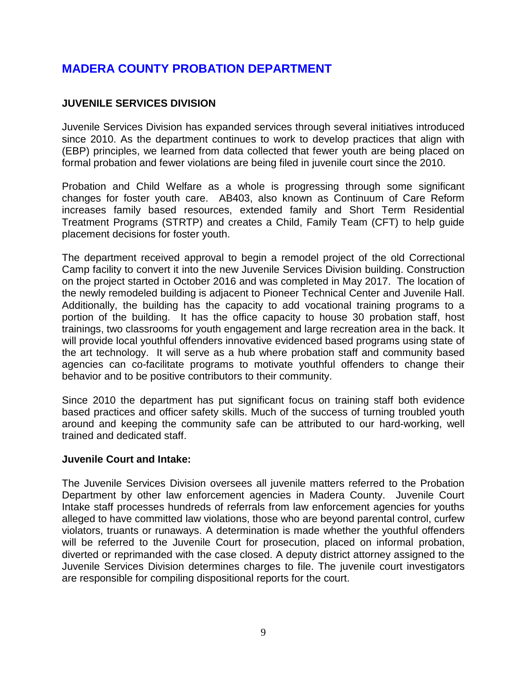### **MADERA COUNTY PROBATION DEPARTMENT**

### **JUVENILE SERVICES DIVISION**

Juvenile Services Division has expanded services through several initiatives introduced since 2010. As the department continues to work to develop practices that align with (EBP) principles, we learned from data collected that fewer youth are being placed on formal probation and fewer violations are being filed in juvenile court since the 2010.

Probation and Child Welfare as a whole is progressing through some significant changes for foster youth care. AB403, also known as Continuum of Care Reform increases family based resources, extended family and Short Term Residential Treatment Programs (STRTP) and creates a Child, Family Team (CFT) to help guide placement decisions for foster youth.

The department received approval to begin a remodel project of the old Correctional Camp facility to convert it into the new Juvenile Services Division building. Construction on the project started in October 2016 and was completed in May 2017. The location of the newly remodeled building is adjacent to Pioneer Technical Center and Juvenile Hall. Additionally, the building has the capacity to add vocational training programs to a portion of the building. It has the office capacity to house 30 probation staff, host trainings, two classrooms for youth engagement and large recreation area in the back. It will provide local youthful offenders innovative evidenced based programs using state of the art technology. It will serve as a hub where probation staff and community based agencies can co-facilitate programs to motivate youthful offenders to change their behavior and to be positive contributors to their community.

Since 2010 the department has put significant focus on training staff both evidence based practices and officer safety skills. Much of the success of turning troubled youth around and keeping the community safe can be attributed to our hard-working, well trained and dedicated staff.

### **Juvenile Court and Intake:**

The Juvenile Services Division oversees all juvenile matters referred to the Probation Department by other law enforcement agencies in Madera County. Juvenile Court Intake staff processes hundreds of referrals from law enforcement agencies for youths alleged to have committed law violations, those who are beyond parental control, curfew violators, truants or runaways. A determination is made whether the youthful offenders will be referred to the Juvenile Court for prosecution, placed on informal probation, diverted or reprimanded with the case closed. A deputy district attorney assigned to the Juvenile Services Division determines charges to file. The juvenile court investigators are responsible for compiling dispositional reports for the court.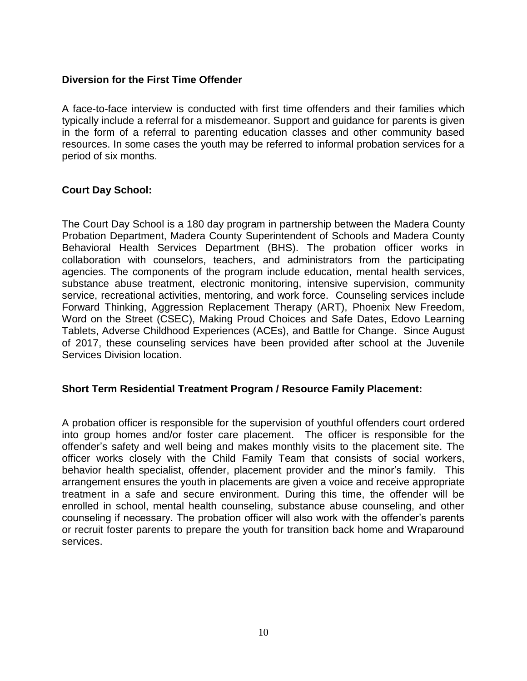### **Diversion for the First Time Offender**

A face-to-face interview is conducted with first time offenders and their families which typically include a referral for a misdemeanor. Support and guidance for parents is given in the form of a referral to parenting education classes and other community based resources. In some cases the youth may be referred to informal probation services for a period of six months.

### **Court Day School:**

The Court Day School is a 180 day program in partnership between the Madera County Probation Department, Madera County Superintendent of Schools and Madera County Behavioral Health Services Department (BHS). The probation officer works in collaboration with counselors, teachers, and administrators from the participating agencies. The components of the program include education, mental health services, substance abuse treatment, electronic monitoring, intensive supervision, community service, recreational activities, mentoring, and work force. Counseling services include Forward Thinking, Aggression Replacement Therapy (ART), Phoenix New Freedom, Word on the Street (CSEC), Making Proud Choices and Safe Dates, Edovo Learning Tablets, Adverse Childhood Experiences (ACEs), and Battle for Change. Since August of 2017, these counseling services have been provided after school at the Juvenile Services Division location.

### **Short Term Residential Treatment Program / Resource Family Placement:**

A probation officer is responsible for the supervision of youthful offenders court ordered into group homes and/or foster care placement. The officer is responsible for the offender's safety and well being and makes monthly visits to the placement site. The officer works closely with the Child Family Team that consists of social workers, behavior health specialist, offender, placement provider and the minor's family. This arrangement ensures the youth in placements are given a voice and receive appropriate treatment in a safe and secure environment. During this time, the offender will be enrolled in school, mental health counseling, substance abuse counseling, and other counseling if necessary. The probation officer will also work with the offender's parents or recruit foster parents to prepare the youth for transition back home and Wraparound services.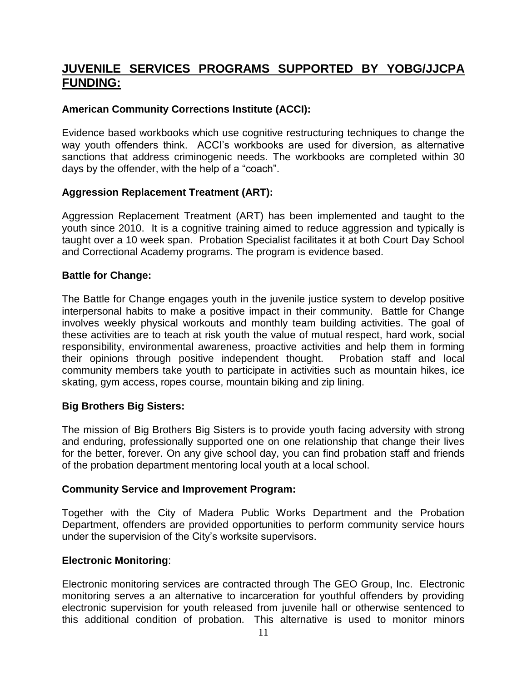### **JUVENILE SERVICES PROGRAMS SUPPORTED BY YOBG/JJCPA FUNDING:**

### **American Community Corrections Institute (ACCI):**

Evidence based workbooks which use cognitive restructuring techniques to change the way youth offenders think. ACCI's workbooks are used for diversion, as alternative sanctions that address criminogenic needs. The workbooks are completed within 30 days by the offender, with the help of a "coach".

### **Aggression Replacement Treatment (ART):**

Aggression Replacement Treatment (ART) has been implemented and taught to the youth since 2010. It is a cognitive training aimed to reduce aggression and typically is taught over a 10 week span. Probation Specialist facilitates it at both Court Day School and Correctional Academy programs. The program is evidence based.

### **Battle for Change:**

The Battle for Change engages youth in the juvenile justice system to develop positive interpersonal habits to make a positive impact in their community. Battle for Change involves weekly physical workouts and monthly team building activities. The goal of these activities are to teach at risk youth the value of mutual respect, hard work, social responsibility, environmental awareness, proactive activities and help them in forming their opinions through positive independent thought. Probation staff and local community members take youth to participate in activities such as mountain hikes, ice skating, gym access, ropes course, mountain biking and zip lining.

### **Big Brothers Big Sisters:**

The mission of Big Brothers Big Sisters is to provide youth facing adversity with strong and enduring, professionally supported one on one relationship that change their lives for the better, forever. On any give school day, you can find probation staff and friends of the probation department mentoring local youth at a local school.

### **Community Service and Improvement Program:**

Together with the City of Madera Public Works Department and the Probation Department, offenders are provided opportunities to perform community service hours under the supervision of the City's worksite supervisors.

### **Electronic Monitoring**:

Electronic monitoring services are contracted through The GEO Group, Inc. Electronic monitoring serves a an alternative to incarceration for youthful offenders by providing electronic supervision for youth released from juvenile hall or otherwise sentenced to this additional condition of probation. This alternative is used to monitor minors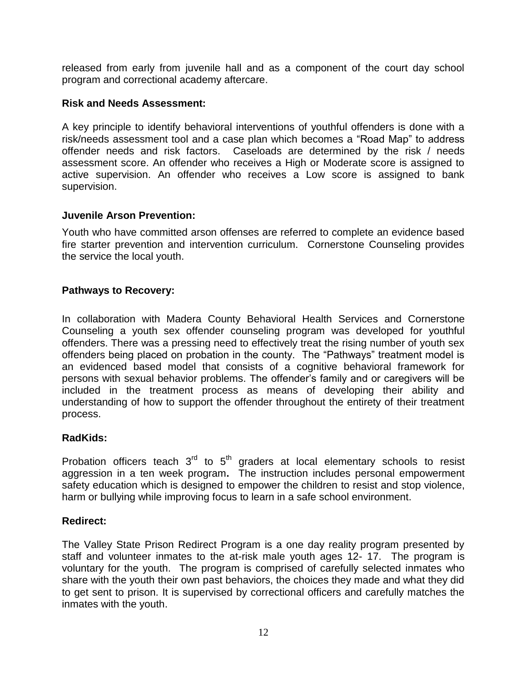released from early from juvenile hall and as a component of the court day school program and correctional academy aftercare.

### **Risk and Needs Assessment:**

A key principle to identify behavioral interventions of youthful offenders is done with a risk/needs assessment tool and a case plan which becomes a "Road Map" to address offender needs and risk factors. Caseloads are determined by the risk / needs assessment score. An offender who receives a High or Moderate score is assigned to active supervision. An offender who receives a Low score is assigned to bank supervision.

### **Juvenile Arson Prevention:**

Youth who have committed arson offenses are referred to complete an evidence based fire starter prevention and intervention curriculum. Cornerstone Counseling provides the service the local youth.

### **Pathways to Recovery:**

In collaboration with Madera County Behavioral Health Services and Cornerstone Counseling a youth sex offender counseling program was developed for youthful offenders. There was a pressing need to effectively treat the rising number of youth sex offenders being placed on probation in the county. The "Pathways" treatment model is an evidenced based model that consists of a cognitive behavioral framework for persons with sexual behavior problems. The offender's family and or caregivers will be included in the treatment process as means of developing their ability and understanding of how to support the offender throughout the entirety of their treatment process.

### **RadKids:**

Probation officers teach  $3<sup>rd</sup>$  to  $5<sup>th</sup>$  graders at local elementary schools to resist aggression in a ten week program**.** The instruction includes personal empowerment safety education which is designed to empower the children to resist and stop violence, harm or bullying while improving focus to learn in a safe school environment.

### **Redirect:**

The Valley State Prison Redirect Program is a one day reality program presented by staff and volunteer inmates to the at-risk male youth ages 12- 17. The program is voluntary for the youth. The program is comprised of carefully selected inmates who share with the youth their own past behaviors, the choices they made and what they did to get sent to prison. It is supervised by correctional officers and carefully matches the inmates with the youth.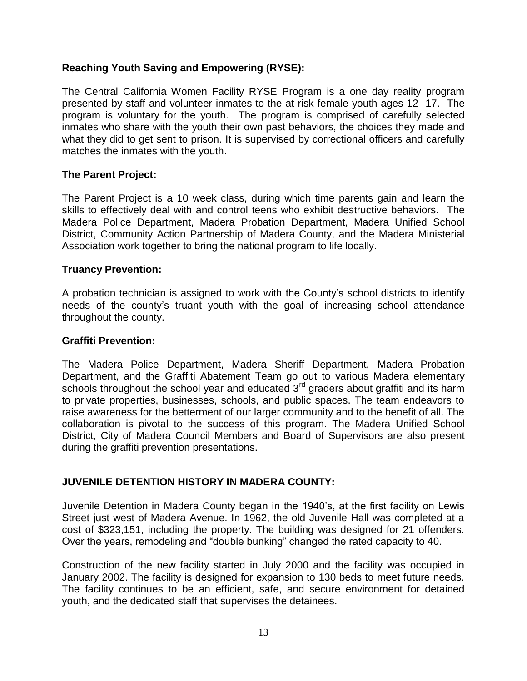### **Reaching Youth Saving and Empowering (RYSE):**

The Central California Women Facility RYSE Program is a one day reality program presented by staff and volunteer inmates to the at-risk female youth ages 12- 17. The program is voluntary for the youth. The program is comprised of carefully selected inmates who share with the youth their own past behaviors, the choices they made and what they did to get sent to prison. It is supervised by correctional officers and carefully matches the inmates with the youth.

### **The Parent Project:**

The Parent Project is a 10 week class, during which time parents gain and learn the skills to effectively deal with and control teens who exhibit destructive behaviors. The Madera Police Department, Madera Probation Department, Madera Unified School District, Community Action Partnership of Madera County, and the Madera Ministerial Association work together to bring the national program to life locally.

### **Truancy Prevention:**

A probation technician is assigned to work with the County's school districts to identify needs of the county's truant youth with the goal of increasing school attendance throughout the county.

### **Graffiti Prevention:**

The Madera Police Department, Madera Sheriff Department, Madera Probation Department, and the Graffiti Abatement Team go out to various Madera elementary schools throughout the school year and educated  $3<sup>rd</sup>$  graders about graffiti and its harm to private properties, businesses, schools, and public spaces. The team endeavors to raise awareness for the betterment of our larger community and to the benefit of all. The collaboration is pivotal to the success of this program. The Madera Unified School District, City of Madera Council Members and Board of Supervisors are also present during the graffiti prevention presentations.

### **JUVENILE DETENTION HISTORY IN MADERA COUNTY:**

Juvenile Detention in Madera County began in the 1940's, at the first facility on Lewis Street just west of Madera Avenue. In 1962, the old Juvenile Hall was completed at a cost of \$323,151, including the property. The building was designed for 21 offenders. Over the years, remodeling and "double bunking" changed the rated capacity to 40.

Construction of the new facility started in July 2000 and the facility was occupied in January 2002. The facility is designed for expansion to 130 beds to meet future needs. The facility continues to be an efficient, safe, and secure environment for detained youth, and the dedicated staff that supervises the detainees.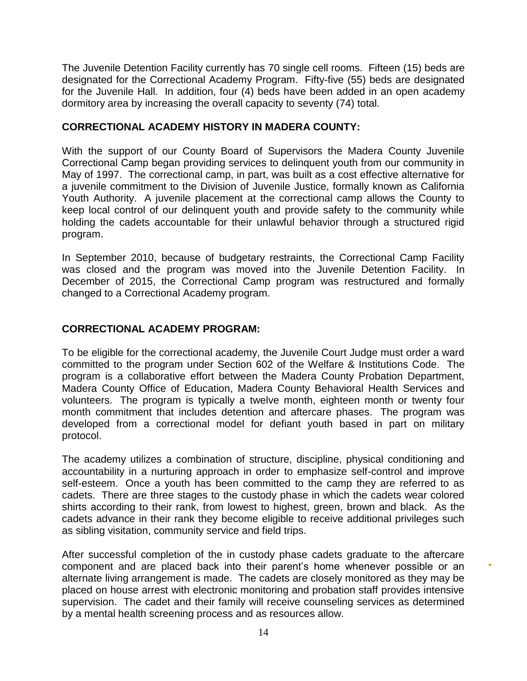The Juvenile Detention Facility currently has 70 single cell rooms. Fifteen (15) beds are designated for the Correctional Academy Program. Fifty-five (55) beds are designated for the Juvenile Hall. In addition, four (4) beds have been added in an open academy dormitory area by increasing the overall capacity to seventy (74) total.

### **CORRECTIONAL ACADEMY HISTORY IN MADERA COUNTY:**

With the support of our County Board of Supervisors the Madera County Juvenile Correctional Camp began providing services to delinquent youth from our community in May of 1997. The correctional camp, in part, was built as a cost effective alternative for a juvenile commitment to the Division of Juvenile Justice, formally known as California Youth Authority. A juvenile placement at the correctional camp allows the County to keep local control of our delinquent youth and provide safety to the community while holding the cadets accountable for their unlawful behavior through a structured rigid program.

In September 2010, because of budgetary restraints, the Correctional Camp Facility was closed and the program was moved into the Juvenile Detention Facility. In December of 2015, the Correctional Camp program was restructured and formally changed to a Correctional Academy program.

### **CORRECTIONAL ACADEMY PROGRAM:**

To be eligible for the correctional academy, the Juvenile Court Judge must order a ward committed to the program under Section 602 of the Welfare & Institutions Code. The program is a collaborative effort between the Madera County Probation Department, Madera County Office of Education, Madera County Behavioral Health Services and volunteers. The program is typically a twelve month, eighteen month or twenty four month commitment that includes detention and aftercare phases. The program was developed from a correctional model for defiant youth based in part on military protocol.

The academy utilizes a combination of structure, discipline, physical conditioning and accountability in a nurturing approach in order to emphasize self-control and improve self-esteem. Once a youth has been committed to the camp they are referred to as cadets. There are three stages to the custody phase in which the cadets wear colored shirts according to their rank, from lowest to highest, green, brown and black. As the cadets advance in their rank they become eligible to receive additional privileges such as sibling visitation, community service and field trips.

After successful completion of the in custody phase cadets graduate to the aftercare component and are placed back into their parent's home whenever possible or an alternate living arrangement is made. The cadets are closely monitored as they may be placed on house arrest with electronic monitoring and probation staff provides intensive supervision. The cadet and their family will receive counseling services as determined by a mental health screening process and as resources allow.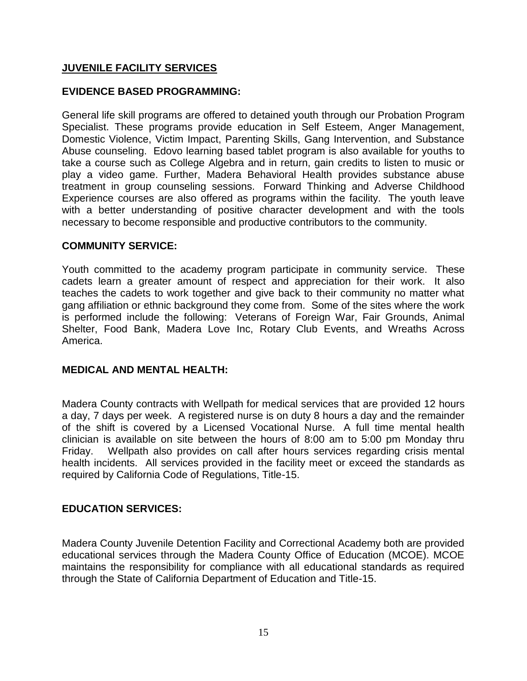### **JUVENILE FACILITY SERVICES**

### **EVIDENCE BASED PROGRAMMING:**

General life skill programs are offered to detained youth through our Probation Program Specialist. These programs provide education in Self Esteem, Anger Management, Domestic Violence, Victim Impact, Parenting Skills, Gang Intervention, and Substance Abuse counseling. Edovo learning based tablet program is also available for youths to take a course such as College Algebra and in return, gain credits to listen to music or play a video game. Further, Madera Behavioral Health provides substance abuse treatment in group counseling sessions. Forward Thinking and Adverse Childhood Experience courses are also offered as programs within the facility. The youth leave with a better understanding of positive character development and with the tools necessary to become responsible and productive contributors to the community.

### **COMMUNITY SERVICE:**

Youth committed to the academy program participate in community service. These cadets learn a greater amount of respect and appreciation for their work. It also teaches the cadets to work together and give back to their community no matter what gang affiliation or ethnic background they come from. Some of the sites where the work is performed include the following: Veterans of Foreign War, Fair Grounds, Animal Shelter, Food Bank, Madera Love Inc, Rotary Club Events, and Wreaths Across America.

### **MEDICAL AND MENTAL HEALTH:**

Madera County contracts with Wellpath for medical services that are provided 12 hours a day, 7 days per week. A registered nurse is on duty 8 hours a day and the remainder of the shift is covered by a Licensed Vocational Nurse. A full time mental health clinician is available on site between the hours of 8:00 am to 5:00 pm Monday thru Friday. Wellpath also provides on call after hours services regarding crisis mental health incidents. All services provided in the facility meet or exceed the standards as required by California Code of Regulations, Title-15.

### **EDUCATION SERVICES:**

Madera County Juvenile Detention Facility and Correctional Academy both are provided educational services through the Madera County Office of Education (MCOE). MCOE maintains the responsibility for compliance with all educational standards as required through the State of California Department of Education and Title-15.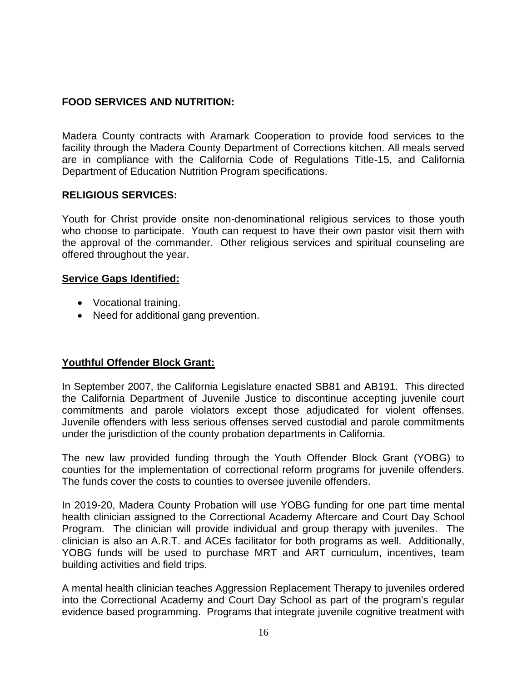### **FOOD SERVICES AND NUTRITION:**

Madera County contracts with Aramark Cooperation to provide food services to the facility through the Madera County Department of Corrections kitchen. All meals served are in compliance with the California Code of Regulations Title-15, and California Department of Education Nutrition Program specifications.

### **RELIGIOUS SERVICES:**

Youth for Christ provide onsite non-denominational religious services to those youth who choose to participate. Youth can request to have their own pastor visit them with the approval of the commander. Other religious services and spiritual counseling are offered throughout the year.

### **Service Gaps Identified:**

- Vocational training.
- Need for additional gang prevention.

### **Youthful Offender Block Grant:**

In September 2007, the California Legislature enacted SB81 and AB191. This directed the California Department of Juvenile Justice to discontinue accepting juvenile court commitments and parole violators except those adjudicated for violent offenses. Juvenile offenders with less serious offenses served custodial and parole commitments under the jurisdiction of the county probation departments in California.

The new law provided funding through the Youth Offender Block Grant (YOBG) to counties for the implementation of correctional reform programs for juvenile offenders. The funds cover the costs to counties to oversee juvenile offenders.

In 2019-20, Madera County Probation will use YOBG funding for one part time mental health clinician assigned to the Correctional Academy Aftercare and Court Day School Program. The clinician will provide individual and group therapy with juveniles. The clinician is also an A.R.T. and ACEs facilitator for both programs as well. Additionally, YOBG funds will be used to purchase MRT and ART curriculum, incentives, team building activities and field trips.

A mental health clinician teaches Aggression Replacement Therapy to juveniles ordered into the Correctional Academy and Court Day School as part of the program's regular evidence based programming. Programs that integrate juvenile cognitive treatment with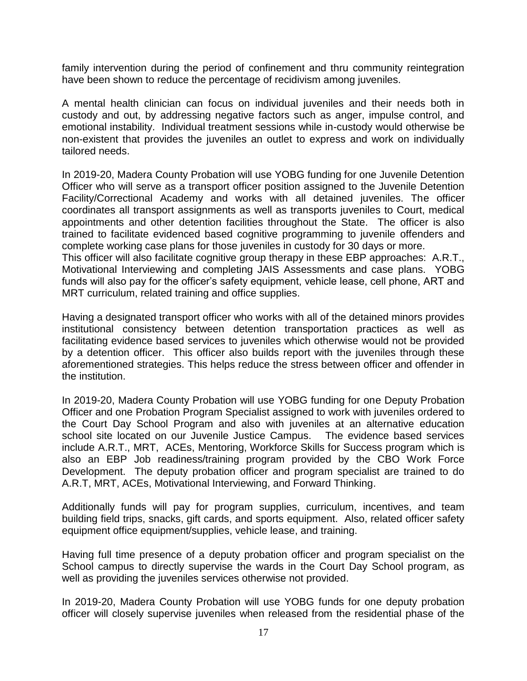family intervention during the period of confinement and thru community reintegration have been shown to reduce the percentage of recidivism among juveniles.

A mental health clinician can focus on individual juveniles and their needs both in custody and out, by addressing negative factors such as anger, impulse control, and emotional instability. Individual treatment sessions while in-custody would otherwise be non-existent that provides the juveniles an outlet to express and work on individually tailored needs.

In 2019-20, Madera County Probation will use YOBG funding for one Juvenile Detention Officer who will serve as a transport officer position assigned to the Juvenile Detention Facility/Correctional Academy and works with all detained juveniles. The officer coordinates all transport assignments as well as transports juveniles to Court, medical appointments and other detention facilities throughout the State. The officer is also trained to facilitate evidenced based cognitive programming to juvenile offenders and complete working case plans for those juveniles in custody for 30 days or more.

This officer will also facilitate cognitive group therapy in these EBP approaches: A.R.T., Motivational Interviewing and completing JAIS Assessments and case plans. YOBG funds will also pay for the officer's safety equipment, vehicle lease, cell phone, ART and MRT curriculum, related training and office supplies.

Having a designated transport officer who works with all of the detained minors provides institutional consistency between detention transportation practices as well as facilitating evidence based services to juveniles which otherwise would not be provided by a detention officer. This officer also builds report with the juveniles through these aforementioned strategies. This helps reduce the stress between officer and offender in the institution.

In 2019-20, Madera County Probation will use YOBG funding for one Deputy Probation Officer and one Probation Program Specialist assigned to work with juveniles ordered to the Court Day School Program and also with juveniles at an alternative education school site located on our Juvenile Justice Campus. The evidence based services include A.R.T., MRT, ACEs, Mentoring, Workforce Skills for Success program which is also an EBP Job readiness/training program provided by the CBO Work Force Development. The deputy probation officer and program specialist are trained to do A.R.T, MRT, ACEs, Motivational Interviewing, and Forward Thinking.

Additionally funds will pay for program supplies, curriculum, incentives, and team building field trips, snacks, gift cards, and sports equipment. Also, related officer safety equipment office equipment/supplies, vehicle lease, and training.

Having full time presence of a deputy probation officer and program specialist on the School campus to directly supervise the wards in the Court Day School program, as well as providing the juveniles services otherwise not provided.

In 2019-20, Madera County Probation will use YOBG funds for one deputy probation officer will closely supervise juveniles when released from the residential phase of the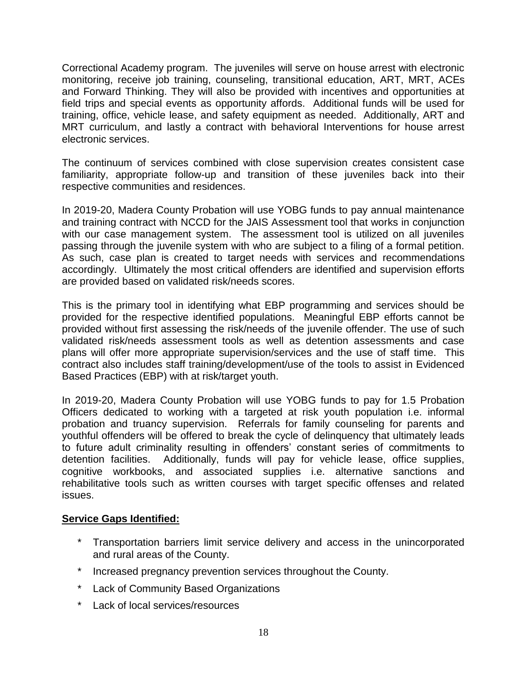Correctional Academy program. The juveniles will serve on house arrest with electronic monitoring, receive job training, counseling, transitional education, ART, MRT, ACEs and Forward Thinking. They will also be provided with incentives and opportunities at field trips and special events as opportunity affords. Additional funds will be used for training, office, vehicle lease, and safety equipment as needed. Additionally, ART and MRT curriculum, and lastly a contract with behavioral Interventions for house arrest electronic services.

The continuum of services combined with close supervision creates consistent case familiarity, appropriate follow-up and transition of these juveniles back into their respective communities and residences.

In 2019-20, Madera County Probation will use YOBG funds to pay annual maintenance and training contract with NCCD for the JAIS Assessment tool that works in conjunction with our case management system. The assessment tool is utilized on all juveniles passing through the juvenile system with who are subject to a filing of a formal petition. As such, case plan is created to target needs with services and recommendations accordingly. Ultimately the most critical offenders are identified and supervision efforts are provided based on validated risk/needs scores.

This is the primary tool in identifying what EBP programming and services should be provided for the respective identified populations. Meaningful EBP efforts cannot be provided without first assessing the risk/needs of the juvenile offender. The use of such validated risk/needs assessment tools as well as detention assessments and case plans will offer more appropriate supervision/services and the use of staff time. This contract also includes staff training/development/use of the tools to assist in Evidenced Based Practices (EBP) with at risk/target youth.

In 2019-20, Madera County Probation will use YOBG funds to pay for 1.5 Probation Officers dedicated to working with a targeted at risk youth population i.e. informal probation and truancy supervision. Referrals for family counseling for parents and youthful offenders will be offered to break the cycle of delinquency that ultimately leads to future adult criminality resulting in offenders' constant series of commitments to detention facilities. Additionally, funds will pay for vehicle lease, office supplies, cognitive workbooks, and associated supplies i.e. alternative sanctions and rehabilitative tools such as written courses with target specific offenses and related issues.

### **Service Gaps Identified:**

- Transportation barriers limit service delivery and access in the unincorporated and rural areas of the County.
- Increased pregnancy prevention services throughout the County.
- \* Lack of Community Based Organizations
- \* Lack of local services/resources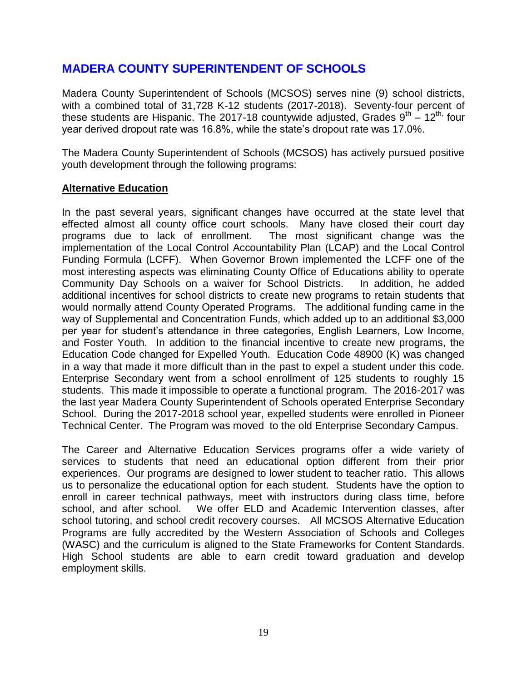### **MADERA COUNTY SUPERINTENDENT OF SCHOOLS**

Madera County Superintendent of Schools (MCSOS) serves nine (9) school districts, with a combined total of 31,728 K-12 students (2017-2018). Seventy-four percent of these students are Hispanic. The 2017-18 countywide adjusted, Grades  $9^{th} - 12^{th}$  four year derived dropout rate was 16.8%, while the state's dropout rate was 17.0%.

The Madera County Superintendent of Schools (MCSOS) has actively pursued positive youth development through the following programs:

### **Alternative Education**

In the past several years, significant changes have occurred at the state level that effected almost all county office court schools. Many have closed their court day programs due to lack of enrollment. The most significant change was the implementation of the Local Control Accountability Plan (LCAP) and the Local Control Funding Formula (LCFF). When Governor Brown implemented the LCFF one of the most interesting aspects was eliminating County Office of Educations ability to operate Community Day Schools on a waiver for School Districts. In addition, he added additional incentives for school districts to create new programs to retain students that would normally attend County Operated Programs. The additional funding came in the way of Supplemental and Concentration Funds, which added up to an additional \$3,000 per year for student's attendance in three categories, English Learners, Low Income, and Foster Youth. In addition to the financial incentive to create new programs, the Education Code changed for Expelled Youth. Education Code 48900 (K) was changed in a way that made it more difficult than in the past to expel a student under this code. Enterprise Secondary went from a school enrollment of 125 students to roughly 15 students. This made it impossible to operate a functional program. The 2016-2017 was the last year Madera County Superintendent of Schools operated Enterprise Secondary School. During the 2017-2018 school year, expelled students were enrolled in Pioneer Technical Center. The Program was moved to the old Enterprise Secondary Campus.

The Career and Alternative Education Services programs offer a wide variety of services to students that need an educational option different from their prior experiences. Our programs are designed to lower student to teacher ratio. This allows us to personalize the educational option for each student. Students have the option to enroll in career technical pathways, meet with instructors during class time, before school, and after school. We offer ELD and Academic Intervention classes, after school tutoring, and school credit recovery courses. All MCSOS Alternative Education Programs are fully accredited by the Western Association of Schools and Colleges (WASC) and the curriculum is aligned to the State Frameworks for Content Standards. High School students are able to earn credit toward graduation and develop employment skills.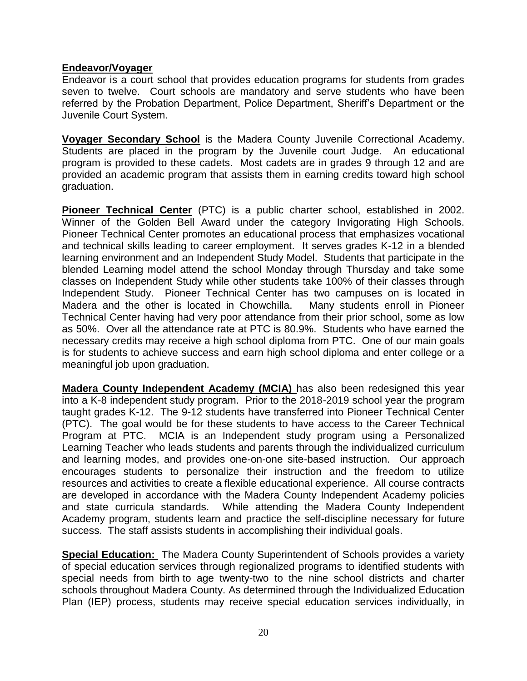### **Endeavor/Voyager**

Endeavor is a court school that provides education programs for students from grades seven to twelve. Court schools are mandatory and serve students who have been referred by the Probation Department, Police Department, Sheriff's Department or the Juvenile Court System.

**Voyager Secondary School** is the Madera County Juvenile Correctional Academy. Students are placed in the program by the Juvenile court Judge. An educational program is provided to these cadets. Most cadets are in grades 9 through 12 and are provided an academic program that assists them in earning credits toward high school graduation.

**Pioneer Technical Center** (PTC) is a public charter school, established in 2002. Winner of the Golden Bell Award under the category Invigorating High Schools. Pioneer Technical Center promotes an educational process that emphasizes vocational and technical skills leading to career employment. It serves grades K-12 in a blended learning environment and an Independent Study Model. Students that participate in the blended Learning model attend the school Monday through Thursday and take some classes on Independent Study while other students take 100% of their classes through Independent Study. Pioneer Technical Center has two campuses on is located in Madera and the other is located in Chowchilla. Many students enroll in Pioneer Technical Center having had very poor attendance from their prior school, some as low as 50%. Over all the attendance rate at PTC is 80.9%. Students who have earned the necessary credits may receive a high school diploma from PTC. One of our main goals is for students to achieve success and earn high school diploma and enter college or a meaningful job upon graduation.

**Madera County Independent Academy (MCIA)** has also been redesigned this year into a K-8 independent study program. Prior to the 2018-2019 school year the program taught grades K-12. The 9-12 students have transferred into Pioneer Technical Center (PTC). The goal would be for these students to have access to the Career Technical Program at PTC. MCIA is an Independent study program using a Personalized Learning Teacher who leads students and parents through the individualized curriculum and learning modes, and provides one-on-one site-based instruction. Our approach encourages students to personalize their instruction and the freedom to utilize resources and activities to create a flexible educational experience. All course contracts are developed in accordance with the Madera County Independent Academy policies and state curricula standards. While attending the Madera County Independent Academy program, students learn and practice the self-discipline necessary for future success. The staff assists students in accomplishing their individual goals.

**Special Education:** The Madera County Superintendent of Schools provides a variety of special education services through regionalized programs to identified students with special needs from birth to age twenty-two to the nine school districts and charter schools throughout Madera County. As determined through the Individualized Education Plan (IEP) process, students may receive special education services individually, in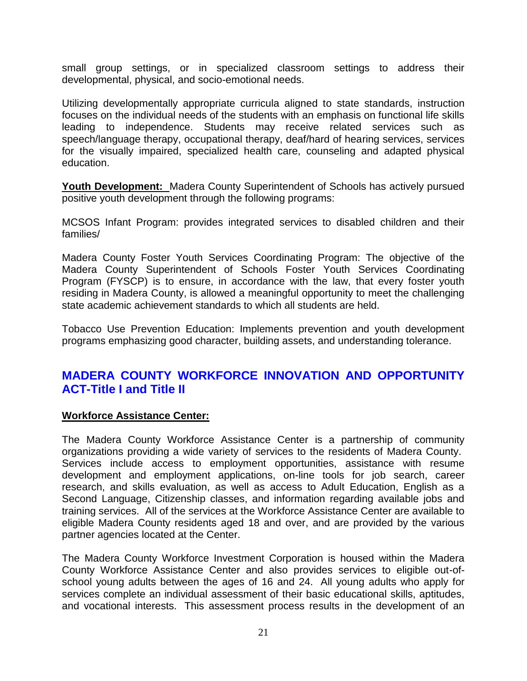small group settings, or in specialized classroom settings to address their developmental, physical, and socio-emotional needs.

Utilizing developmentally appropriate curricula aligned to state standards, instruction focuses on the individual needs of the students with an emphasis on functional life skills leading to independence. Students may receive related services such as speech/language therapy, occupational therapy, deaf/hard of hearing services, services for the visually impaired, specialized health care, counseling and adapted physical education.

**Youth Development:** Madera County Superintendent of Schools has actively pursued positive youth development through the following programs:

MCSOS Infant Program: provides integrated services to disabled children and their families/

Madera County Foster Youth Services Coordinating Program: The objective of the Madera County Superintendent of Schools Foster Youth Services Coordinating Program (FYSCP) is to ensure, in accordance with the law, that every foster youth residing in Madera County, is allowed a meaningful opportunity to meet the challenging state academic achievement standards to which all students are held.

Tobacco Use Prevention Education: Implements prevention and youth development programs emphasizing good character, building assets, and understanding tolerance.

### **MADERA COUNTY WORKFORCE INNOVATION AND OPPORTUNITY ACT-Title I and Title II**

### **Workforce Assistance Center:**

The Madera County Workforce Assistance Center is a partnership of community organizations providing a wide variety of services to the residents of Madera County. Services include access to employment opportunities, assistance with resume development and employment applications, on-line tools for job search, career research, and skills evaluation, as well as access to Adult Education, English as a Second Language, Citizenship classes, and information regarding available jobs and training services. All of the services at the Workforce Assistance Center are available to eligible Madera County residents aged 18 and over, and are provided by the various partner agencies located at the Center.

The Madera County Workforce Investment Corporation is housed within the Madera County Workforce Assistance Center and also provides services to eligible out-ofschool young adults between the ages of 16 and 24. All young adults who apply for services complete an individual assessment of their basic educational skills, aptitudes, and vocational interests. This assessment process results in the development of an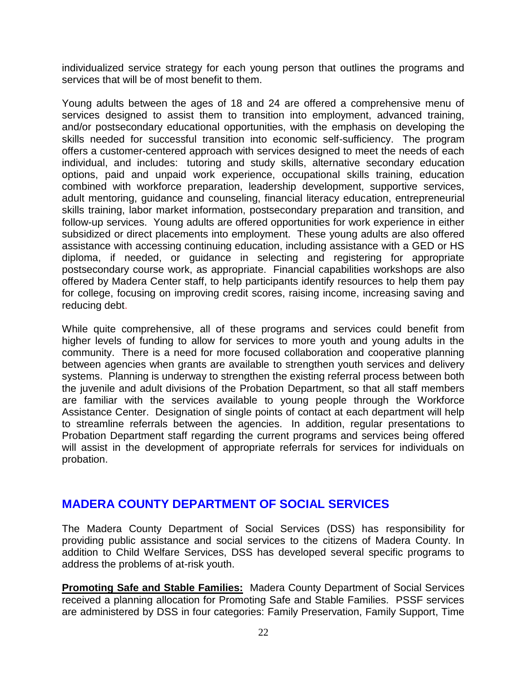individualized service strategy for each young person that outlines the programs and services that will be of most benefit to them.

Young adults between the ages of 18 and 24 are offered a comprehensive menu of services designed to assist them to transition into employment, advanced training, and/or postsecondary educational opportunities, with the emphasis on developing the skills needed for successful transition into economic self-sufficiency. The program offers a customer-centered approach with services designed to meet the needs of each individual, and includes: tutoring and study skills, alternative secondary education options, paid and unpaid work experience, occupational skills training, education combined with workforce preparation, leadership development, supportive services, adult mentoring, guidance and counseling, financial literacy education, entrepreneurial skills training, labor market information, postsecondary preparation and transition, and follow-up services. Young adults are offered opportunities for work experience in either subsidized or direct placements into employment. These young adults are also offered assistance with accessing continuing education, including assistance with a GED or HS diploma, if needed, or guidance in selecting and registering for appropriate postsecondary course work, as appropriate. Financial capabilities workshops are also offered by Madera Center staff, to help participants identify resources to help them pay for college, focusing on improving credit scores, raising income, increasing saving and reducing debt.

While quite comprehensive, all of these programs and services could benefit from higher levels of funding to allow for services to more youth and young adults in the community. There is a need for more focused collaboration and cooperative planning between agencies when grants are available to strengthen youth services and delivery systems. Planning is underway to strengthen the existing referral process between both the juvenile and adult divisions of the Probation Department, so that all staff members are familiar with the services available to young people through the Workforce Assistance Center. Designation of single points of contact at each department will help to streamline referrals between the agencies. In addition, regular presentations to Probation Department staff regarding the current programs and services being offered will assist in the development of appropriate referrals for services for individuals on probation.

### **MADERA COUNTY DEPARTMENT OF SOCIAL SERVICES**

The Madera County Department of Social Services (DSS) has responsibility for providing public assistance and social services to the citizens of Madera County. In addition to Child Welfare Services, DSS has developed several specific programs to address the problems of at-risk youth.

**Promoting Safe and Stable Families:** Madera County Department of Social Services received a planning allocation for Promoting Safe and Stable Families. PSSF services are administered by DSS in four categories: Family Preservation, Family Support, Time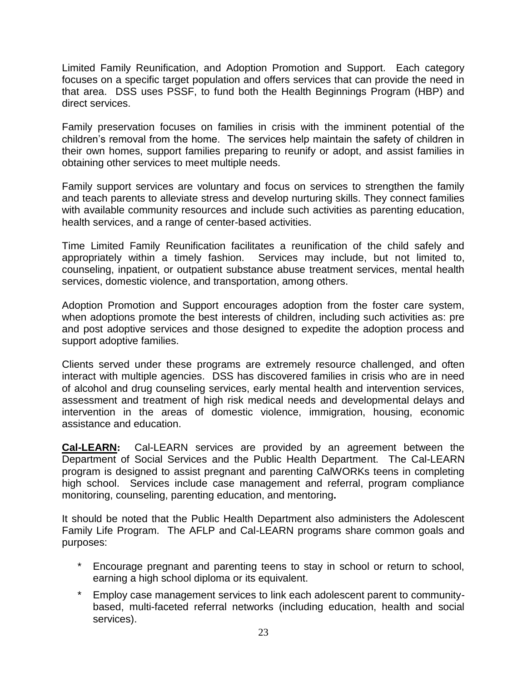Limited Family Reunification, and Adoption Promotion and Support. Each category focuses on a specific target population and offers services that can provide the need in that area. DSS uses PSSF, to fund both the Health Beginnings Program (HBP) and direct services.

Family preservation focuses on families in crisis with the imminent potential of the children's removal from the home. The services help maintain the safety of children in their own homes, support families preparing to reunify or adopt, and assist families in obtaining other services to meet multiple needs.

Family support services are voluntary and focus on services to strengthen the family and teach parents to alleviate stress and develop nurturing skills. They connect families with available community resources and include such activities as parenting education, health services, and a range of center-based activities.

Time Limited Family Reunification facilitates a reunification of the child safely and appropriately within a timely fashion. Services may include, but not limited to, counseling, inpatient, or outpatient substance abuse treatment services, mental health services, domestic violence, and transportation, among others.

Adoption Promotion and Support encourages adoption from the foster care system, when adoptions promote the best interests of children, including such activities as: pre and post adoptive services and those designed to expedite the adoption process and support adoptive families.

Clients served under these programs are extremely resource challenged, and often interact with multiple agencies. DSS has discovered families in crisis who are in need of alcohol and drug counseling services, early mental health and intervention services, assessment and treatment of high risk medical needs and developmental delays and intervention in the areas of domestic violence, immigration, housing, economic assistance and education.

**Cal-LEARN:** Cal-LEARN services are provided by an agreement between the Department of Social Services and the Public Health Department. The Cal-LEARN program is designed to assist pregnant and parenting CalWORKs teens in completing high school. Services include case management and referral, program compliance monitoring, counseling, parenting education, and mentoring**.**

It should be noted that the Public Health Department also administers the Adolescent Family Life Program. The AFLP and Cal-LEARN programs share common goals and purposes:

- Encourage pregnant and parenting teens to stay in school or return to school, earning a high school diploma or its equivalent.
- Employ case management services to link each adolescent parent to communitybased, multi-faceted referral networks (including education, health and social services).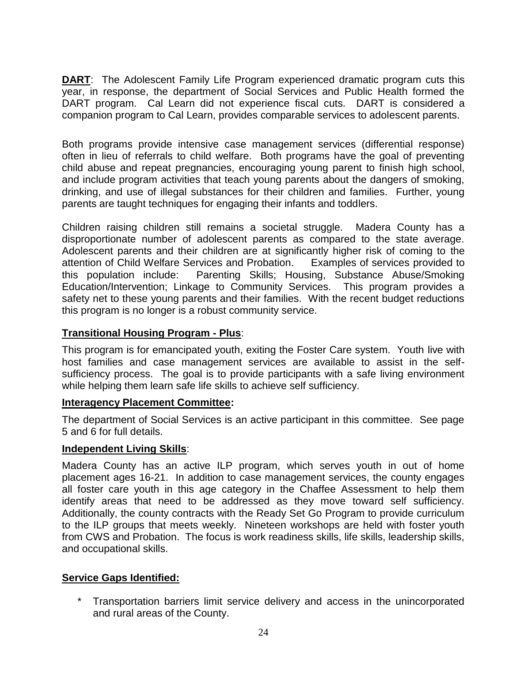**DART:** The Adolescent Family Life Program experienced dramatic program cuts this year, in response, the department of Social Services and Public Health formed the DART program. Cal Learn did not experience fiscal cuts. DART is considered a companion program to Cal Learn, provides comparable services to adolescent parents.

Both programs provide intensive case management services (differential response) often in lieu of referrals to child welfare. Both programs have the goal of preventing child abuse and repeat pregnancies, encouraging young parent to finish high school, and include program activities that teach young parents about the dangers of smoking, drinking, and use of illegal substances for their children and families. Further, young parents are taught techniques for engaging their infants and toddlers.

Children raising children still remains a societal struggle. Madera County has a disproportionate number of adolescent parents as compared to the state average. Adolescent parents and their children are at significantly higher risk of coming to the attention of Child Welfare Services and Probation. Examples of services provided to this population include: Parenting Skills; Housing, Substance Abuse/Smoking Education/Intervention; Linkage to Community Services. This program provides a safety net to these young parents and their families. With the recent budget reductions this program is no longer is a robust community service.

### **Transitional Housing Program - Plus**:

This program is for emancipated youth, exiting the Foster Care system. Youth live with host families and case management services are available to assist in the selfsufficiency process. The goal is to provide participants with a safe living environment while helping them learn safe life skills to achieve self sufficiency.

### **Interagency Placement Committee:**

The department of Social Services is an active participant in this committee. See page 5 and 6 for full details.

### **Independent Living Skills**:

Madera County has an active ILP program, which serves youth in out of home placement ages 16-21. In addition to case management services, the county engages all foster care youth in this age category in the Chaffee Assessment to help them identify areas that need to be addressed as they move toward self sufficiency. Additionally, the county contracts with the Ready Set Go Program to provide curriculum to the ILP groups that meets weekly. Nineteen workshops are held with foster youth from CWS and Probation. The focus is work readiness skills, life skills, leadership skills, and occupational skills.

### **Service Gaps Identified:**

\* Transportation barriers limit service delivery and access in the unincorporated and rural areas of the County.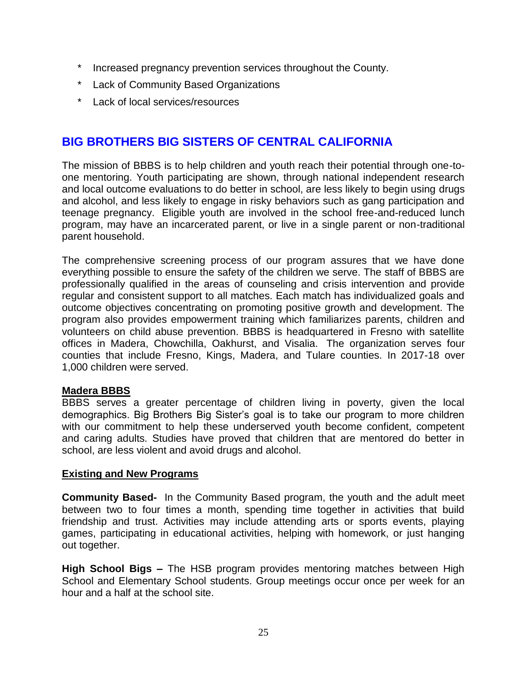- \* Increased pregnancy prevention services throughout the County.
- \* Lack of Community Based Organizations
- \* Lack of local services/resources

### **BIG BROTHERS BIG SISTERS OF CENTRAL CALIFORNIA**

The mission of BBBS is to help children and youth reach their potential through one-toone mentoring. Youth participating are shown, through national independent research and local outcome evaluations to do better in school, are less likely to begin using drugs and alcohol, and less likely to engage in risky behaviors such as gang participation and teenage pregnancy. Eligible youth are involved in the school free-and-reduced lunch program, may have an incarcerated parent, or live in a single parent or non-traditional parent household.

The comprehensive screening process of our program assures that we have done everything possible to ensure the safety of the children we serve. The staff of BBBS are professionally qualified in the areas of counseling and crisis intervention and provide regular and consistent support to all matches. Each match has individualized goals and outcome objectives concentrating on promoting positive growth and development. The program also provides empowerment training which familiarizes parents, children and volunteers on child abuse prevention. BBBS is headquartered in Fresno with satellite offices in Madera, Chowchilla, Oakhurst, and Visalia. The organization serves four counties that include Fresno, Kings, Madera, and Tulare counties. In 2017-18 over 1,000 children were served.

### **Madera BBBS**

BBBS serves a greater percentage of children living in poverty, given the local demographics. Big Brothers Big Sister's goal is to take our program to more children with our commitment to help these underserved youth become confident, competent and caring adults. Studies have proved that children that are mentored do better in school, are less violent and avoid drugs and alcohol.

### **Existing and New Programs**

**Community Based-** In the Community Based program, the youth and the adult meet between two to four times a month, spending time together in activities that build friendship and trust. Activities may include attending arts or sports events, playing games, participating in educational activities, helping with homework, or just hanging out together.

**High School Bigs –** The HSB program provides mentoring matches between High School and Elementary School students. Group meetings occur once per week for an hour and a half at the school site.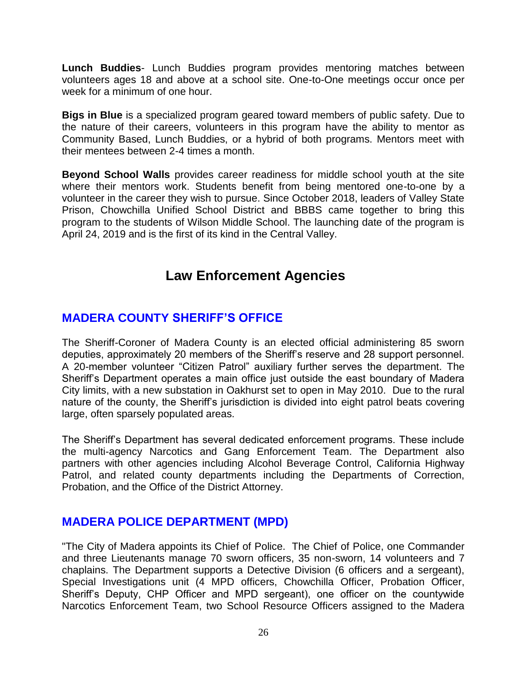**Lunch Buddies**- Lunch Buddies program provides mentoring matches between volunteers ages 18 and above at a school site. One-to-One meetings occur once per week for a minimum of one hour.

**Bigs in Blue** is a specialized program geared toward members of public safety. Due to the nature of their careers, volunteers in this program have the ability to mentor as Community Based, Lunch Buddies, or a hybrid of both programs. Mentors meet with their mentees between 2-4 times a month.

**Beyond School Walls** provides career readiness for middle school youth at the site where their mentors work. Students benefit from being mentored one-to-one by a volunteer in the career they wish to pursue. Since October 2018, leaders of Valley State Prison, Chowchilla Unified School District and BBBS came together to bring this program to the students of Wilson Middle School. The launching date of the program is April 24, 2019 and is the first of its kind in the Central Valley.

## **Law Enforcement Agencies**

### **MADERA COUNTY SHERIFF'S OFFICE**

The Sheriff-Coroner of Madera County is an elected official administering 85 sworn deputies, approximately 20 members of the Sheriff's reserve and 28 support personnel. A 20-member volunteer "Citizen Patrol" auxiliary further serves the department. The Sheriff's Department operates a main office just outside the east boundary of Madera City limits, with a new substation in Oakhurst set to open in May 2010. Due to the rural nature of the county, the Sheriff's jurisdiction is divided into eight patrol beats covering large, often sparsely populated areas.

The Sheriff's Department has several dedicated enforcement programs. These include the multi-agency Narcotics and Gang Enforcement Team. The Department also partners with other agencies including Alcohol Beverage Control, California Highway Patrol, and related county departments including the Departments of Correction, Probation, and the Office of the District Attorney.

### **MADERA POLICE DEPARTMENT (MPD)**

"The City of Madera appoints its Chief of Police. The Chief of Police, one Commander and three Lieutenants manage 70 sworn officers, 35 non-sworn, 14 volunteers and 7 chaplains. The Department supports a Detective Division (6 officers and a sergeant), Special Investigations unit (4 MPD officers, Chowchilla Officer, Probation Officer, Sheriff's Deputy, CHP Officer and MPD sergeant), one officer on the countywide Narcotics Enforcement Team, two School Resource Officers assigned to the Madera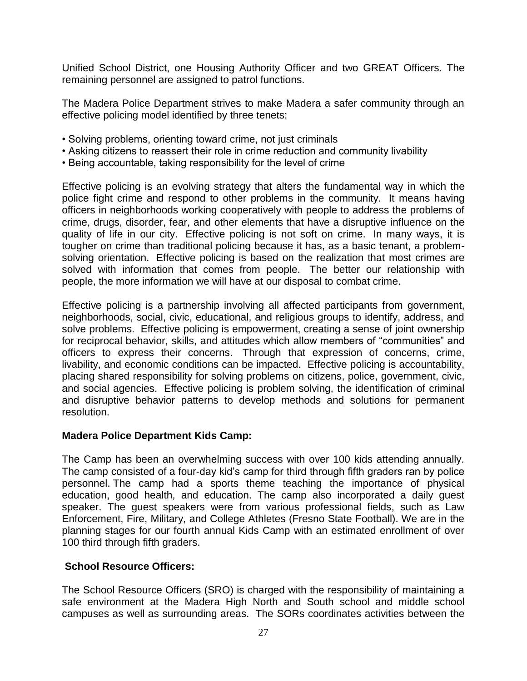Unified School District, one Housing Authority Officer and two GREAT Officers. The remaining personnel are assigned to patrol functions.

The Madera Police Department strives to make Madera a safer community through an effective policing model identified by three tenets:

- Solving problems, orienting toward crime, not just criminals
- Asking citizens to reassert their role in crime reduction and community livability
- Being accountable, taking responsibility for the level of crime

Effective policing is an evolving strategy that alters the fundamental way in which the police fight crime and respond to other problems in the community. It means having officers in neighborhoods working cooperatively with people to address the problems of crime, drugs, disorder, fear, and other elements that have a disruptive influence on the quality of life in our city. Effective policing is not soft on crime. In many ways, it is tougher on crime than traditional policing because it has, as a basic tenant, a problemsolving orientation. Effective policing is based on the realization that most crimes are solved with information that comes from people. The better our relationship with people, the more information we will have at our disposal to combat crime.

Effective policing is a partnership involving all affected participants from government, neighborhoods, social, civic, educational, and religious groups to identify, address, and solve problems. Effective policing is empowerment, creating a sense of joint ownership for reciprocal behavior, skills, and attitudes which allow members of "communities" and officers to express their concerns. Through that expression of concerns, crime, livability, and economic conditions can be impacted. Effective policing is accountability, placing shared responsibility for solving problems on citizens, police, government, civic, and social agencies. Effective policing is problem solving, the identification of criminal and disruptive behavior patterns to develop methods and solutions for permanent resolution.

### **Madera Police Department Kids Camp:**

The Camp has been an overwhelming success with over 100 kids attending annually. The camp consisted of a four-day kid's camp for third through fifth graders ran by police personnel. The camp had a sports theme teaching the importance of physical education, good health, and education. The camp also incorporated a daily guest speaker. The guest speakers were from various professional fields, such as Law Enforcement, Fire, Military, and College Athletes (Fresno State Football). We are in the planning stages for our fourth annual Kids Camp with an estimated enrollment of over 100 third through fifth graders.

### **School Resource Officers:**

The School Resource Officers (SRO) is charged with the responsibility of maintaining a safe environment at the Madera High North and South school and middle school campuses as well as surrounding areas. The SORs coordinates activities between the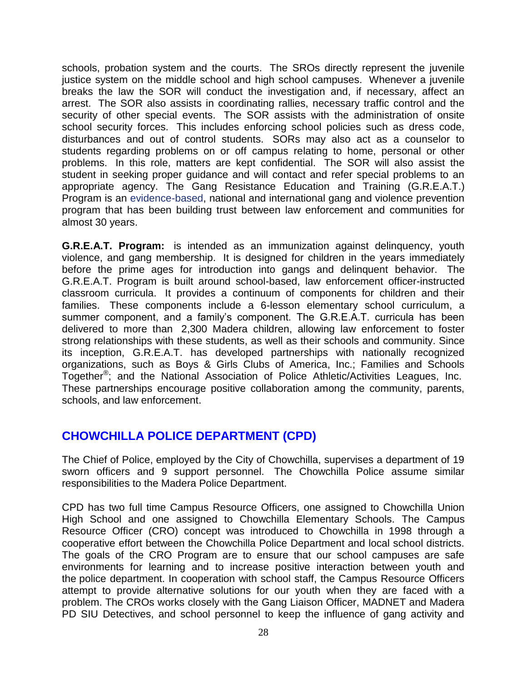schools, probation system and the courts. The SROs directly represent the juvenile justice system on the middle school and high school campuses. Whenever a juvenile breaks the law the SOR will conduct the investigation and, if necessary, affect an arrest. The SOR also assists in coordinating rallies, necessary traffic control and the security of other special events. The SOR assists with the administration of onsite school security forces. This includes enforcing school policies such as dress code, disturbances and out of control students. SORs may also act as a counselor to students regarding problems on or off campus relating to home, personal or other problems. In this role, matters are kept confidential. The SOR will also assist the student in seeking proper guidance and will contact and refer special problems to an appropriate agency. The Gang Resistance Education and Training (G.R.E.A.T.) Program is an [evidence-based,](https://www.great-online.org/Home/About/Evaluation) national and international gang and violence prevention program that has been building trust between law enforcement and communities for almost 30 years.

**G.R.E.A.T. Program:** is intended as an immunization against delinquency, youth violence, and gang membership. It is designed for children in the years immediately before the prime ages for introduction into gangs and delinquent behavior. The G.R.E.A.T. Program is built around school-based, law enforcement officer-instructed classroom curricula. It provides a continuum of components for children and their families. These components include a 6-lesson elementary school curriculum, a summer component, and a family's component. The G.R.E.A.T. curricula has been delivered to more than 2,300 Madera children, allowing law enforcement to foster strong relationships with these students, as well as their schools and community. Since its inception, G.R.E.A.T. has developed partnerships with nationally recognized organizations, such as Boys & Girls Clubs of America, Inc.; Families and Schools Together® ; and the National Association of Police Athletic/Activities Leagues, Inc. These partnerships encourage positive collaboration among the community, parents, schools, and law enforcement.

### **CHOWCHILLA POLICE DEPARTMENT (CPD)**

The Chief of Police, employed by the City of Chowchilla, supervises a department of 19 sworn officers and 9 support personnel. The Chowchilla Police assume similar responsibilities to the Madera Police Department.

CPD has two full time Campus Resource Officers, one assigned to Chowchilla Union High School and one assigned to Chowchilla Elementary Schools. The Campus Resource Officer (CRO) concept was introduced to Chowchilla in 1998 through a cooperative effort between the Chowchilla Police Department and local school districts. The goals of the CRO Program are to ensure that our school campuses are safe environments for learning and to increase positive interaction between youth and the police department. In cooperation with school staff, the Campus Resource Officers attempt to provide alternative solutions for our youth when they are faced with a problem. The CROs works closely with the Gang Liaison Officer, MADNET and Madera PD SIU Detectives, and school personnel to keep the influence of gang activity and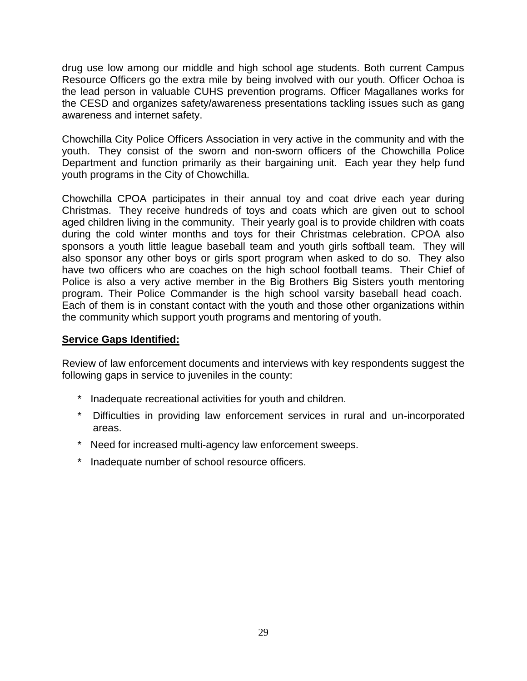drug use low among our middle and high school age students. Both current Campus Resource Officers go the extra mile by being involved with our youth. Officer Ochoa is the lead person in valuable CUHS prevention programs. Officer Magallanes works for the CESD and organizes safety/awareness presentations tackling issues such as gang awareness and internet safety.

Chowchilla City Police Officers Association in very active in the community and with the youth. They consist of the sworn and non-sworn officers of the Chowchilla Police Department and function primarily as their bargaining unit. Each year they help fund youth programs in the City of Chowchilla.

Chowchilla CPOA participates in their annual toy and coat drive each year during Christmas. They receive hundreds of toys and coats which are given out to school aged children living in the community. Their yearly goal is to provide children with coats during the cold winter months and toys for their Christmas celebration. CPOA also sponsors a youth little league baseball team and youth girls softball team. They will also sponsor any other boys or girls sport program when asked to do so. They also have two officers who are coaches on the high school football teams. Their Chief of Police is also a very active member in the Big Brothers Big Sisters youth mentoring program. Their Police Commander is the high school varsity baseball head coach. Each of them is in constant contact with the youth and those other organizations within the community which support youth programs and mentoring of youth.

### **Service Gaps Identified:**

Review of law enforcement documents and interviews with key respondents suggest the following gaps in service to juveniles in the county:

- Inadequate recreational activities for youth and children.
- \* Difficulties in providing law enforcement services in rural and un-incorporated areas.
- \* Need for increased multi-agency law enforcement sweeps.
- \* Inadequate number of school resource officers.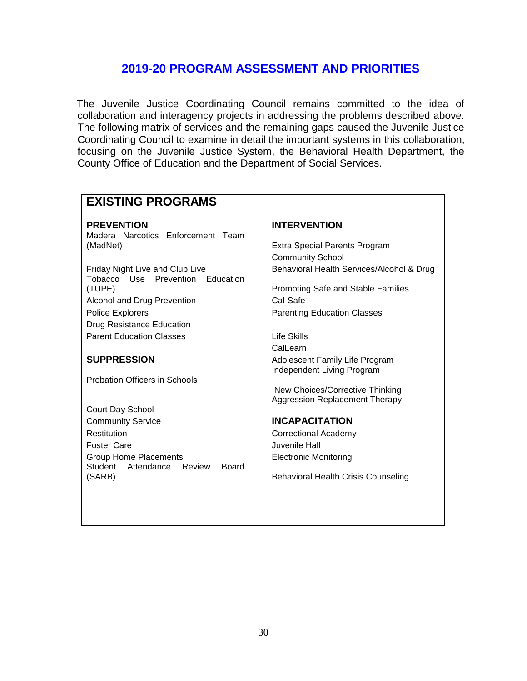### **2019-20 PROGRAM ASSESSMENT AND PRIORITIES**

The Juvenile Justice Coordinating Council remains committed to the idea of collaboration and interagency projects in addressing the problems described above. The following matrix of services and the remaining gaps caused the Juvenile Justice Coordinating Council to examine in detail the important systems in this collaboration, focusing on the Juvenile Justice System, the Behavioral Health Department, the County Office of Education and the Department of Social Services.

### **EXISTING PROGRAMS**

Madera Narcotics Enforcement Team (MadNet) Extra Special Parents Program

Tobacco Use Prevention Education (TUPE) Promoting Safe and Stable Families Alcohol and Drug Prevention Cal-Safe Police Explorers **Parenting Education Classes** Drug Resistance Education Parent Education Classes **Life Skills** 

Probation Officers in Schools

Court Day School Community Service **INCAPACITATION** Restitution **Correctional Academy** Foster Care **Care Access Care Access Foster Care** Juvenile Hall Group Home Placements Electronic Monitoring Student Attendance Review Board (SARB) Behavioral Health Crisis Counseling

### **PREVENTION INTERVENTION**

Community School Friday Night Live and Club Live **Behavioral Health Services/Alcohol & Drug** 

CalLearn **SUPPRESSION** Adolescent Family Life Program Independent Living Program

> New Choices/Corrective Thinking Aggression Replacement Therapy